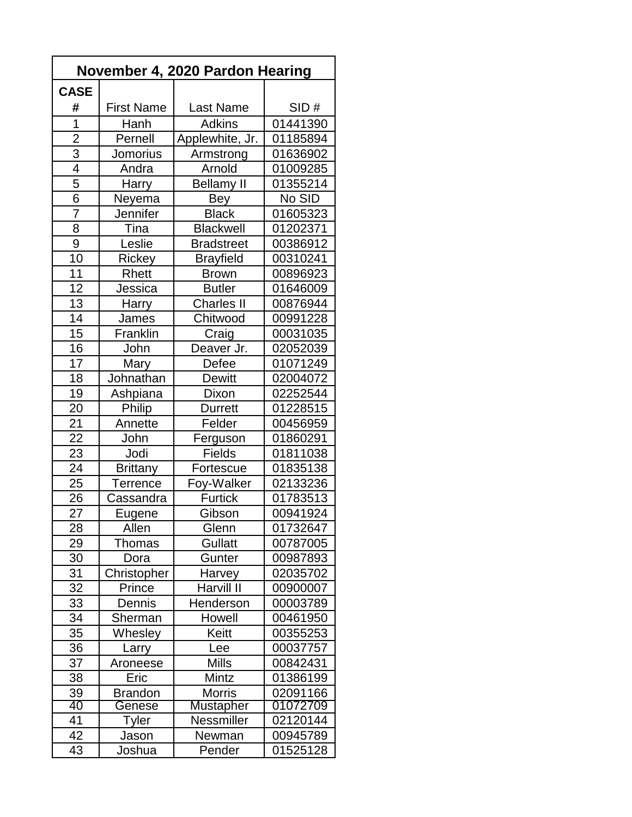| November 4, 2020 Pardon Hearing |                   |                   |          |  |  |  |
|---------------------------------|-------------------|-------------------|----------|--|--|--|
| <b>CASE</b>                     |                   |                   |          |  |  |  |
| #                               | <b>First Name</b> | <b>Last Name</b>  | SID#     |  |  |  |
| $\overline{1}$                  | Hanh              | <b>Adkins</b>     | 01441390 |  |  |  |
| $\overline{2}$                  | Pernell           | Applewhite, Jr.   | 01185894 |  |  |  |
| $\overline{3}$                  | Jomorius          | Armstrong         | 01636902 |  |  |  |
| $\overline{4}$                  | Andra             | Arnold            | 01009285 |  |  |  |
| 5                               | Harry             | <b>Bellamy II</b> | 01355214 |  |  |  |
| 6                               | Neyema            | Bey               | No SID   |  |  |  |
| $\overline{7}$                  | Jennifer          | <b>Black</b>      | 01605323 |  |  |  |
| 8                               | Tina              | <b>Blackwell</b>  | 01202371 |  |  |  |
| 9                               | Leslie            | <b>Bradstreet</b> | 00386912 |  |  |  |
| 10                              | Rickey            | <b>Brayfield</b>  | 00310241 |  |  |  |
| 11                              | Rhett             | <b>Brown</b>      | 00896923 |  |  |  |
| 12                              | Jessica           | <b>Butler</b>     | 01646009 |  |  |  |
| 13                              | Harry             | <b>Charles II</b> | 00876944 |  |  |  |
| 14                              | James             | Chitwood          | 00991228 |  |  |  |
| 15                              | Franklin          | Craig             | 00031035 |  |  |  |
| 16                              | John              | Deaver Jr.        | 02052039 |  |  |  |
| 17                              | Mary              | Defee             | 01071249 |  |  |  |
| 18                              | Johnathan         | <b>Dewitt</b>     | 02004072 |  |  |  |
| 19                              | Ashpiana          | Dixon             | 02252544 |  |  |  |
| 20                              | <b>Philip</b>     | <b>Durrett</b>    | 01228515 |  |  |  |
| 21                              | Annette           | Felder            | 00456959 |  |  |  |
| 22                              | John              | Ferguson          | 01860291 |  |  |  |
| 23                              | Jodi              | <b>Fields</b>     | 01811038 |  |  |  |
| 24                              | <b>Brittany</b>   | Fortescue         | 01835138 |  |  |  |
| 25                              | <b>Terrence</b>   | Foy-Walker        | 02133236 |  |  |  |
| 26                              | Cassandra         | <b>Furtick</b>    | 01783513 |  |  |  |
| 27                              | Eugene            | Gibson            | 00941924 |  |  |  |
| 28                              | Allen             | Glenn             | 01732647 |  |  |  |
| 29                              | <b>Thomas</b>     | <b>Gullatt</b>    | 00787005 |  |  |  |
| 30                              | Dora              | Gunter            | 00987893 |  |  |  |
| 31                              | Christopher       | Harvey            | 02035702 |  |  |  |
| 32                              | Prince            | Harvill II        | 00900007 |  |  |  |
| 33                              | Dennis            | Henderson         | 00003789 |  |  |  |
| 34                              | Sherman           | Howell            | 00461950 |  |  |  |
| 35                              | Whesley           | Keitt             | 00355253 |  |  |  |
| 36                              | Larry             | Lee               | 00037757 |  |  |  |
| 37                              | Aroneese          | <b>Mills</b>      | 00842431 |  |  |  |
| 38                              | Eric              | Mintz             | 01386199 |  |  |  |
| 39                              | <b>Brandon</b>    | <b>Morris</b>     | 02091166 |  |  |  |
| 40                              | Genese            | <b>Mustapher</b>  | 01072709 |  |  |  |
| 41                              | Tyler             | Nessmiller        | 02120144 |  |  |  |
| 42                              | Jason             | Newman            | 00945789 |  |  |  |
| 43                              | Joshua            | Pender            | 01525128 |  |  |  |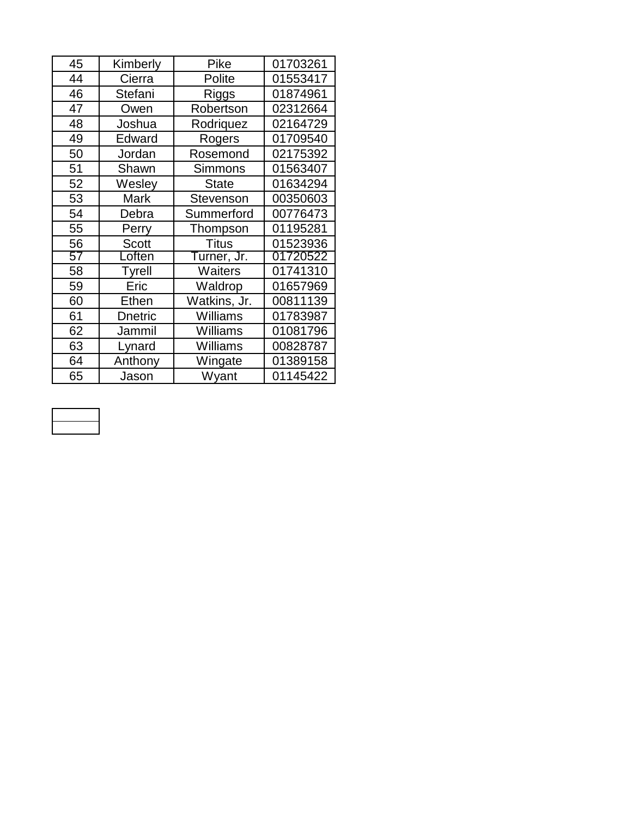| 45 | Kimberly     | Pike            | 01703261 |
|----|--------------|-----------------|----------|
| 44 | Cierra       | Polite          | 01553417 |
| 46 | Stefani      | Riggs           | 01874961 |
| 47 | Owen         | Robertson       | 02312664 |
| 48 | Joshua       | Rodriquez       | 02164729 |
| 49 | Edward       | Rogers          | 01709540 |
| 50 | Jordan       | Rosemond        | 02175392 |
| 51 | Shawn        | <b>Simmons</b>  | 01563407 |
| 52 | Wesley       | <b>State</b>    | 01634294 |
| 53 | Mark         | Stevenson       | 00350603 |
| 54 | Debra        | Summerford      | 00776473 |
| 55 | Perry        | Thompson        | 01195281 |
| 56 | <b>Scott</b> | <b>Titus</b>    | 01523936 |
| 57 | Loften       | Turner, Jr.     | 01720522 |
| 58 | Tyrell       | Waiters         | 01741310 |
| 59 | Eric         | Waldrop         | 01657969 |
| 60 | Ethen        | Watkins, Jr.    | 00811139 |
| 61 | Dnetric      | Williams        | 01783987 |
| 62 | Jammil       | <b>Williams</b> | 01081796 |
| 63 | Lynard       | Williams        | 00828787 |
| 64 | Anthony      | Wingate         | 01389158 |
| 65 | Jason        | Wyant           | 01145422 |